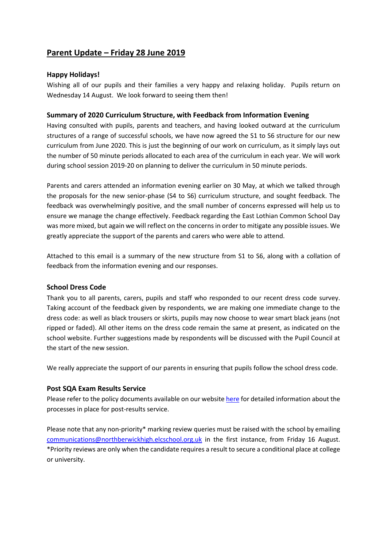# **Parent Update – Friday 28 June 2019**

# **Happy Holidays!**

Wishing all of our pupils and their families a very happy and relaxing holiday. Pupils return on Wednesday 14 August. We look forward to seeing them then!

# **Summary of 2020 Curriculum Structure, with Feedback from Information Evening**

Having consulted with pupils, parents and teachers, and having looked outward at the curriculum structures of a range of successful schools, we have now agreed the S1 to S6 structure for our new curriculum from June 2020. This is just the beginning of our work on curriculum, as it simply lays out the number of 50 minute periods allocated to each area of the curriculum in each year. We will work during school session 2019-20 on planning to deliver the curriculum in 50 minute periods.

Parents and carers attended an information evening earlier on 30 May, at which we talked through the proposals for the new senior-phase (S4 to S6) curriculum structure, and sought feedback. The feedback was overwhelmingly positive, and the small number of concerns expressed will help us to ensure we manage the change effectively. Feedback regarding the East Lothian Common School Day was more mixed, but again we will reflect on the concerns in order to mitigate any possible issues. We greatly appreciate the support of the parents and carers who were able to attend.

Attached to this email is a summary of the new structure from S1 to S6, along with a collation of feedback from the information evening and our responses.

## **School Dress Code**

Thank you to all parents, carers, pupils and staff who responded to our recent dress code survey. Taking account of the feedback given by respondents, we are making one immediate change to the dress code: as well as black trousers or skirts, pupils may now choose to wear smart black jeans (not ripped or faded). All other items on the dress code remain the same at present, as indicated on the school website. Further suggestions made by respondents will be discussed with the Pupil Council at the start of the new session.

We really appreciate the support of our parents in ensuring that pupils follow the school dress code.

## **Post SQA Exam Results Service**

Please refer to the policy documents available on our website [here](https://www.edubuzz.org/northberwickhigh/2019/06/24/exam-results-2019/) for detailed information about the processes in place for post-results service.

Please note that any non-priority\* marking review queries must be raised with the school by emailing [communications@northberwickhigh.elcschool.org.uk](mailto:communications@northberwickhigh.elcschool.org.uk) in the first instance, from Friday 16 August. \*Priority reviews are only when the candidate requires a result to secure a conditional place at college or university.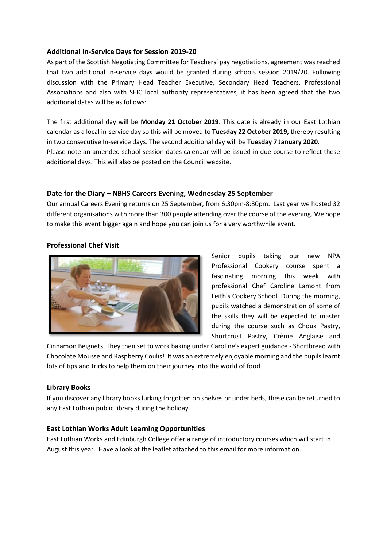## **Additional In-Service Days for Session 2019-20**

As part of the Scottish Negotiating Committee for Teachers' pay negotiations, agreement was reached that two additional in-service days would be granted during schools session 2019/20. Following discussion with the Primary Head Teacher Executive, Secondary Head Teachers, Professional Associations and also with SEIC local authority representatives, it has been agreed that the two additional dates will be as follows:

The first additional day will be **Monday 21 October 2019**. This date is already in our East Lothian calendar as a local in-service day so this will be moved to **Tuesday 22 October 2019,** thereby resulting in two consecutive In-service days. The second additional day will be **Tuesday 7 January 2020**. Please note an amended school session dates calendar will be issued in due course to reflect these additional days. This will also be posted on the Council website.

## **Date for the Diary – NBHS Careers Evening, Wednesday 25 September**

Our annual Careers Evening returns on 25 September, from 6:30pm-8:30pm. Last year we hosted 32 different organisations with more than 300 people attending over the course of the evening. We hope to make this event bigger again and hope you can join us for a very worthwhile event.

## **Professional Chef Visit**



Senior pupils taking our new NPA Professional Cookery course spent a fascinating morning this week with professional Chef Caroline Lamont from Leith's Cookery School. During the morning, pupils watched a demonstration of some of the skills they will be expected to master during the course such as Choux Pastry, Shortcrust Pastry, Crème Anglaise and

Cinnamon Beignets. They then set to work baking under Caroline's expert guidance - Shortbread with Chocolate Mousse and Raspberry Coulis! It was an extremely enjoyable morning and the pupils learnt lots of tips and tricks to help them on their journey into the world of food.

### **Library Books**

If you discover any library books lurking forgotten on shelves or under beds, these can be returned to any East Lothian public library during the holiday.

### **East Lothian Works Adult Learning Opportunities**

East Lothian Works and Edinburgh College offer a range of introductory courses which will start in August this year. Have a look at the leaflet attached to this email for more information.